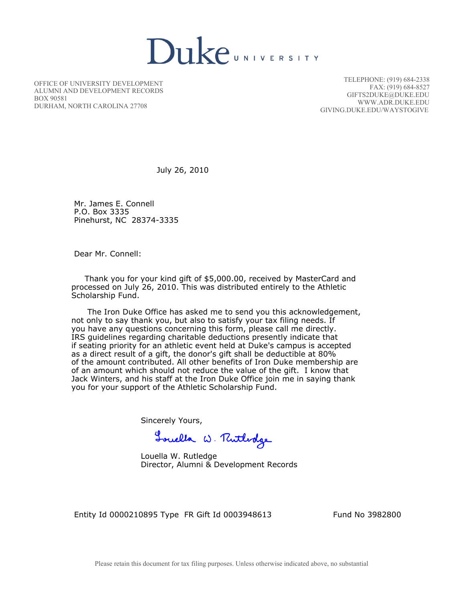**Duke**UNIVERSITY

OFFICE OF UNIVERSITY DEVELOPMENT ALUMNI AND DEVELOPMENT RECORDS BOX 90581 DURHAM, NORTH CAROLINA 27708

TELEPHONE: (919) 684-2338 FAX: (919) 684-8527 GIFTS2DUKE@DUKE.EDU WWW.ADR.DUKE.EDU GIVING.DUKE.EDU/WAYSTOGIVE

July 26, 2010

 Mr. James E. Connell P.O. Box 3335 Pinehurst, NC 28374-3335

Dear Mr. Connell:

 Thank you for your kind gift of \$5,000.00, received by MasterCard and processed on July 26, 2010. This was distributed entirely to the Athletic Scholarship Fund.

 The Iron Duke Office has asked me to send you this acknowledgement, not only to say thank you, but also to satisfy your tax filing needs. If you have any questions concerning this form, please call me directly. IRS guidelines regarding charitable deductions presently indicate that if seating priority for an athletic event held at Duke's campus is accepted as a direct result of a gift, the donor's gift shall be deductible at 80% of the amount contributed. All other benefits of Iron Duke membership are of an amount which should not reduce the value of the gift. I know that Jack Winters, and his staff at the Iron Duke Office join me in saying thank you for your support of the Athletic Scholarship Fund.

Sincerely Yours,

Touella W. Rutholge

 Louella W. Rutledge Director, Alumni & Development Records

Entity Id 0000210895 Type FR Gift Id 0003948613 Fund No 3982800

Please retain this document for tax filing purposes. Unless otherwise indicated above, no substantial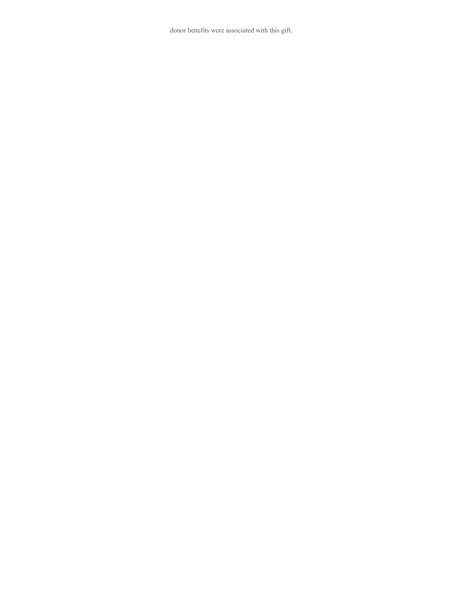donor benefits were associated with this gift.